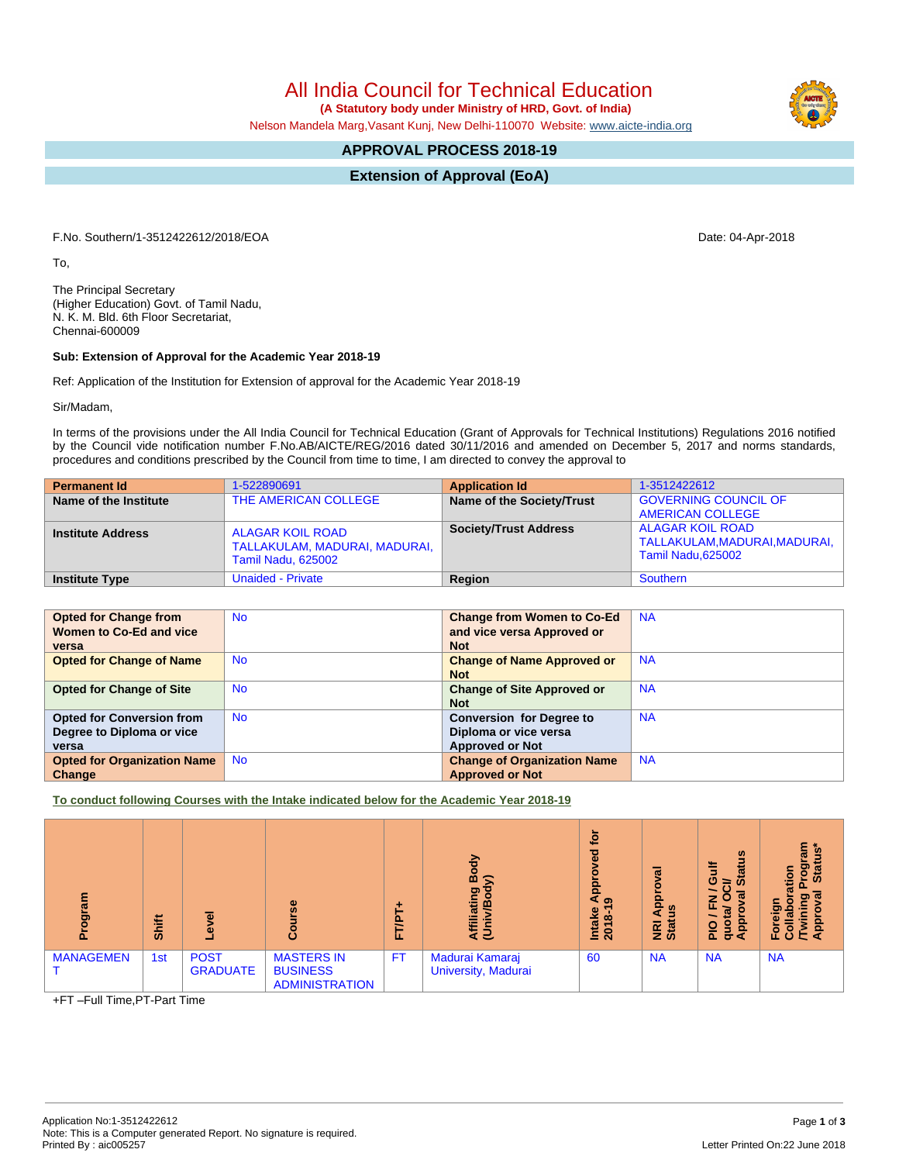All India Council for Technical Education  **(A Statutory body under Ministry of HRD, Govt. of India)**

Nelson Mandela Marg,Vasant Kunj, New Delhi-110070 Website: [www.aicte-india.org](http://www.aicte-india.org)

## **APPROVAL PROCESS 2018-19**

**Extension of Approval (EoA)**

F.No. Southern/1-3512422612/2018/EOA Date: 04-Apr-2018

To,

The Principal Secretary (Higher Education) Govt. of Tamil Nadu, N. K. M. Bld. 6th Floor Secretariat, Chennai-600009

## **Sub: Extension of Approval for the Academic Year 2018-19**

Ref: Application of the Institution for Extension of approval for the Academic Year 2018-19

Sir/Madam,

In terms of the provisions under the All India Council for Technical Education (Grant of Approvals for Technical Institutions) Regulations 2016 notified by the Council vide notification number F.No.AB/AICTE/REG/2016 dated 30/11/2016 and amended on December 5, 2017 and norms standards, procedures and conditions prescribed by the Council from time to time, I am directed to convey the approval to

| <b>Permanent Id</b>      | 1-522890691                                                                           | <b>Application Id</b>        | 1-3512422612                                                              |
|--------------------------|---------------------------------------------------------------------------------------|------------------------------|---------------------------------------------------------------------------|
| Name of the Institute    | THE AMERICAN COLLEGE                                                                  | Name of the Society/Trust    | <b>GOVERNING COUNCIL OF</b><br><b>AMERICAN COLLEGE</b>                    |
| <b>Institute Address</b> | <b>ALAGAR KOIL ROAD</b><br>TALLAKULAM, MADURAI, MADURAI,<br><b>Tamil Nadu, 625002</b> | <b>Society/Trust Address</b> | ALAGAR KOIL ROAD<br>TALLAKULAM, MADURAI, MADURAI,  <br>Tamil Nadu, 625002 |
| <b>Institute Type</b>    | <b>Unaided - Private</b>                                                              | Region                       | Southern                                                                  |

| <b>Opted for Change from</b>       | <b>No</b> | <b>Change from Women to Co-Ed</b>  | <b>NA</b> |
|------------------------------------|-----------|------------------------------------|-----------|
| Women to Co-Ed and vice            |           | and vice versa Approved or         |           |
| versa                              |           | <b>Not</b>                         |           |
| <b>Opted for Change of Name</b>    | <b>No</b> | <b>Change of Name Approved or</b>  | <b>NA</b> |
|                                    |           | <b>Not</b>                         |           |
| <b>Opted for Change of Site</b>    | <b>No</b> | <b>Change of Site Approved or</b>  | <b>NA</b> |
|                                    |           | <b>Not</b>                         |           |
| <b>Opted for Conversion from</b>   | <b>No</b> | <b>Conversion for Degree to</b>    | <b>NA</b> |
| Degree to Diploma or vice          |           | Diploma or vice versa              |           |
| versa                              |           | <b>Approved or Not</b>             |           |
| <b>Opted for Organization Name</b> | <b>No</b> | <b>Change of Organization Name</b> | <b>NA</b> |
| Change                             |           | <b>Approved or Not</b>             |           |

**To conduct following Courses with the Intake indicated below for the Academic Year 2018-19**

| ram<br>ಕ್ಷ್<br>ք | Shift | G)                             | $\omega$<br>ū.                                                | ۰.<br>ΓÆΤ<br>L. | Body<br>ς<br>Affiliating<br>(Univ/Bod <sup>,</sup> | <u>ۃ</u><br>Ъe<br><b>App</b><br>ၜ<br>Intake<br>2018-1 | ಹ<br><b>App</b><br>9<br>NRI<br>Stat | <b>SC</b><br>ă<br>σ<br>ဖ<br>≃<br><b>in</b><br>ത<br>z<br>ш.<br>n,<br>윤<br>g<br>$\frac{1}{2}$<br>σ∢ | 듢<br><u>ഗ</u><br>စ္မွ<br>tion<br><b>Sta</b><br>o<br>о<br>ō<br>Ĕōr<br>U<br>$\ddot{\mathbf{c}}$ |
|------------------|-------|--------------------------------|---------------------------------------------------------------|-----------------|----------------------------------------------------|-------------------------------------------------------|-------------------------------------|---------------------------------------------------------------------------------------------------|-----------------------------------------------------------------------------------------------|
| <b>MANAGEMEN</b> | 1st   | <b>POST</b><br><b>GRADUATE</b> | <b>MASTERS IN</b><br><b>BUSINESS</b><br><b>ADMINISTRATION</b> | <b>FT</b>       | Madurai Kamaraj<br>University, Madurai             | 60                                                    | <b>NA</b>                           | <b>NA</b>                                                                                         | <b>NA</b>                                                                                     |

+FT –Full Time,PT-Part Time

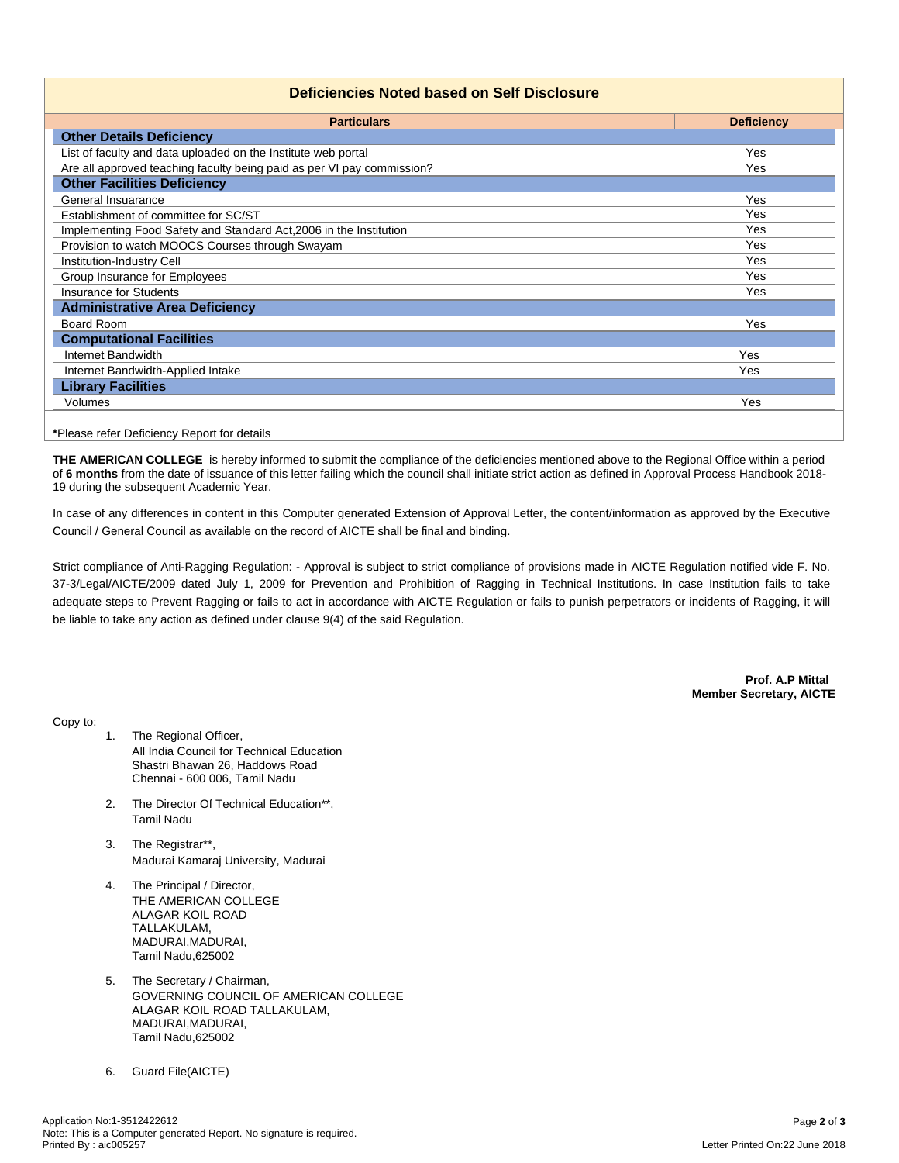## **Deficiencies Noted based on Self Disclosure**

| <b>Particulars</b>                                                     | <b>Deficiency</b> |  |  |
|------------------------------------------------------------------------|-------------------|--|--|
| <b>Other Details Deficiency</b>                                        |                   |  |  |
| List of faculty and data uploaded on the Institute web portal          | <b>Yes</b>        |  |  |
| Are all approved teaching faculty being paid as per VI pay commission? | <b>Yes</b>        |  |  |
| <b>Other Facilities Deficiency</b>                                     |                   |  |  |
| General Insuarance                                                     | Yes               |  |  |
| Establishment of committee for SC/ST                                   | Yes               |  |  |
| Implementing Food Safety and Standard Act, 2006 in the Institution     | Yes               |  |  |
| Provision to watch MOOCS Courses through Swayam                        | Yes               |  |  |
| Institution-Industry Cell                                              | Yes               |  |  |
| Group Insurance for Employees                                          | Yes               |  |  |
| <b>Insurance for Students</b>                                          | Yes               |  |  |
| <b>Administrative Area Deficiency</b>                                  |                   |  |  |
| <b>Board Room</b>                                                      | Yes               |  |  |
| <b>Computational Facilities</b>                                        |                   |  |  |
| Internet Bandwidth                                                     | Yes               |  |  |
| Internet Bandwidth-Applied Intake                                      | Yes               |  |  |
| <b>Library Facilities</b>                                              |                   |  |  |
| Volumes                                                                | Yes               |  |  |

**THE AMERICAN COLLEGE** is hereby informed to submit the compliance of the deficiencies mentioned above to the Regional Office within a period of **6 months** from the date of issuance of this letter failing which the council shall initiate strict action as defined in Approval Process Handbook 2018- 19 during the subsequent Academic Year.

In case of any differences in content in this Computer generated Extension of Approval Letter, the content/information as approved by the Executive Council / General Council as available on the record of AICTE shall be final and binding.

Strict compliance of Anti-Ragging Regulation: - Approval is subject to strict compliance of provisions made in AICTE Regulation notified vide F. No. 37-3/Legal/AICTE/2009 dated July 1, 2009 for Prevention and Prohibition of Ragging in Technical Institutions. In case Institution fails to take adequate steps to Prevent Ragging or fails to act in accordance with AICTE Regulation or fails to punish perpetrators or incidents of Ragging, it will be liable to take any action as defined under clause 9(4) of the said Regulation.

> **Prof. A.P Mittal Member Secretary, AICTE**

Copy to:

- 1. The Regional Officer, All India Council for Technical Education Shastri Bhawan 26, Haddows Road Chennai - 600 006, Tamil Nadu
- 2. The Director Of Technical Education\*\*, Tamil Nadu
- 3. The Registrar\*\*, Madurai Kamaraj University, Madurai
- 4. The Principal / Director, THE AMERICAN COLLEGE ALAGAR KOIL ROAD TALLAKULAM, MADURAI,MADURAI, Tamil Nadu,625002
- 5. The Secretary / Chairman, GOVERNING COUNCIL OF AMERICAN COLLEGE ALAGAR KOIL ROAD TALLAKULAM, MADURAI,MADURAI, Tamil Nadu,625002
- 6. Guard File(AICTE)